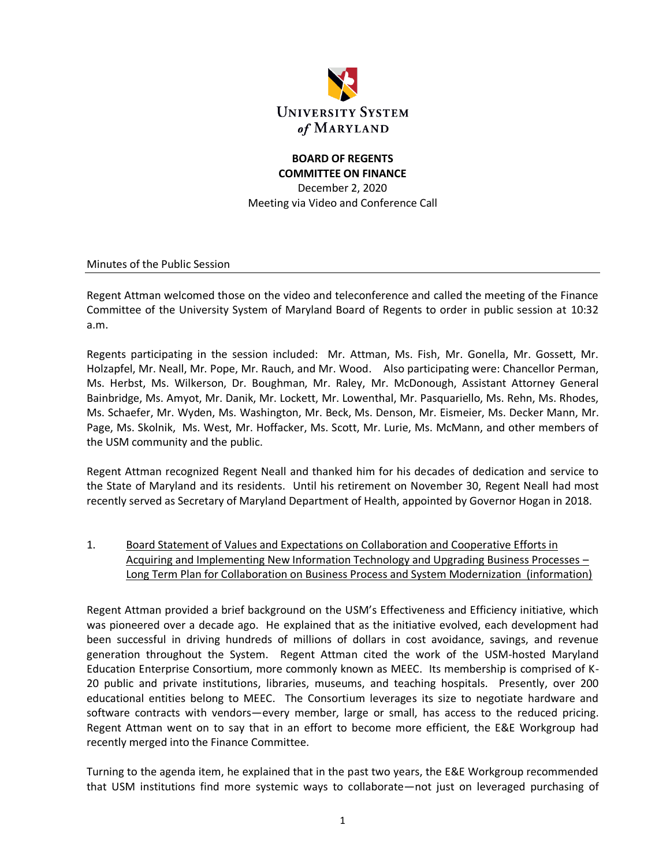

# **BOARD OF REGENTS COMMITTEE ON FINANCE**

December 2, 2020 Meeting via Video and Conference Call

Minutes of the Public Session

Regent Attman welcomed those on the video and teleconference and called the meeting of the Finance Committee of the University System of Maryland Board of Regents to order in public session at 10:32 a.m.

Regents participating in the session included: Mr. Attman, Ms. Fish, Mr. Gonella, Mr. Gossett, Mr. Holzapfel, Mr. Neall, Mr. Pope, Mr. Rauch, and Mr. Wood. Also participating were: Chancellor Perman, Ms. Herbst, Ms. Wilkerson, Dr. Boughman, Mr. Raley, Mr. McDonough, Assistant Attorney General Bainbridge, Ms. Amyot, Mr. Danik, Mr. Lockett, Mr. Lowenthal, Mr. Pasquariello, Ms. Rehn, Ms. Rhodes, Ms. Schaefer, Mr. Wyden, Ms. Washington, Mr. Beck, Ms. Denson, Mr. Eismeier, Ms. Decker Mann, Mr. Page, Ms. Skolnik, Ms. West, Mr. Hoffacker, Ms. Scott, Mr. Lurie, Ms. McMann, and other members of the USM community and the public.

Regent Attman recognized Regent Neall and thanked him for his decades of dedication and service to the State of Maryland and its residents. Until his retirement on November 30, Regent Neall had most recently served as Secretary of Maryland Department of Health, appointed by Governor Hogan in 2018.

1. Board Statement of Values and Expectations on Collaboration and Cooperative Efforts in Acquiring and Implementing New Information Technology and Upgrading Business Processes – Long Term Plan for Collaboration on Business Process and System Modernization (information)

Regent Attman provided a brief background on the USM's Effectiveness and Efficiency initiative, which was pioneered over a decade ago. He explained that as the initiative evolved, each development had been successful in driving hundreds of millions of dollars in cost avoidance, savings, and revenue generation throughout the System. Regent Attman cited the work of the USM-hosted Maryland Education Enterprise Consortium, more commonly known as MEEC. Its membership is comprised of K-20 public and private institutions, libraries, museums, and teaching hospitals. Presently, over 200 educational entities belong to MEEC. The Consortium leverages its size to negotiate hardware and software contracts with vendors—every member, large or small, has access to the reduced pricing. Regent Attman went on to say that in an effort to become more efficient, the E&E Workgroup had recently merged into the Finance Committee.

Turning to the agenda item, he explained that in the past two years, the E&E Workgroup recommended that USM institutions find more systemic ways to collaborate—not just on leveraged purchasing of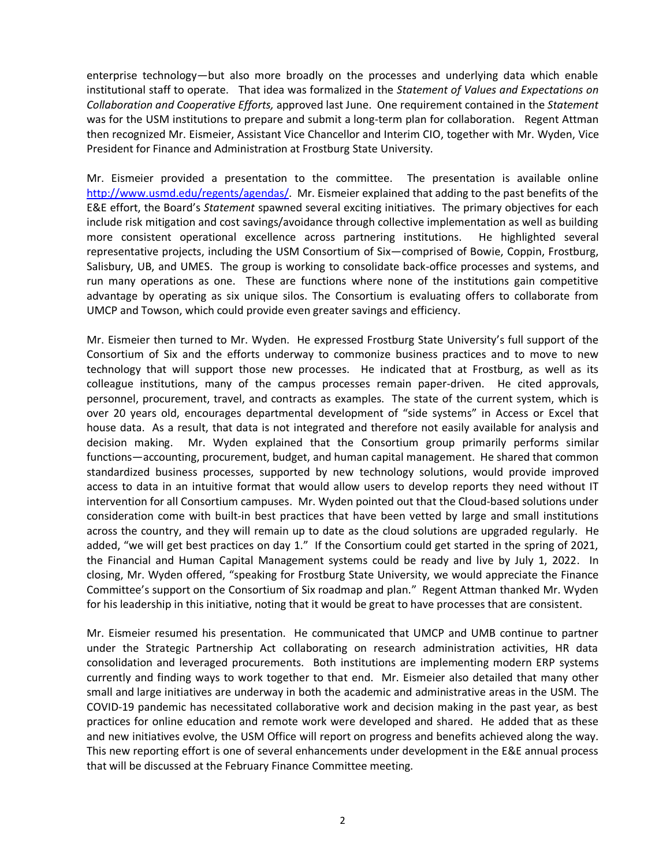enterprise technology—but also more broadly on the processes and underlying data which enable institutional staff to operate. That idea was formalized in the *Statement of Values and Expectations on Collaboration and Cooperative Efforts,* approved last June. One requirement contained in the *Statement* was for the USM institutions to prepare and submit a long-term plan for collaboration. Regent Attman then recognized Mr. Eismeier, Assistant Vice Chancellor and Interim CIO, together with Mr. Wyden, Vice President for Finance and Administration at Frostburg State University.

Mr. Eismeier provided a presentation to the committee. The presentation is available online [http://www.usmd.edu/regents/agendas/.](http://www.usmd.edu/regents/agendas/) Mr. Eismeier explained that adding to the past benefits of the E&E effort, the Board's *Statement* spawned several exciting initiatives. The primary objectives for each include risk mitigation and cost savings/avoidance through collective implementation as well as building more consistent operational excellence across partnering institutions. He highlighted several representative projects, including the USM Consortium of Six—comprised of Bowie, Coppin, Frostburg, Salisbury, UB, and UMES. The group is working to consolidate back-office processes and systems, and run many operations as one. These are functions where none of the institutions gain competitive advantage by operating as six unique silos. The Consortium is evaluating offers to collaborate from UMCP and Towson, which could provide even greater savings and efficiency.

Mr. Eismeier then turned to Mr. Wyden. He expressed Frostburg State University's full support of the Consortium of Six and the efforts underway to commonize business practices and to move to new technology that will support those new processes. He indicated that at Frostburg, as well as its colleague institutions, many of the campus processes remain paper-driven. He cited approvals, personnel, procurement, travel, and contracts as examples. The state of the current system, which is over 20 years old, encourages departmental development of "side systems" in Access or Excel that house data. As a result, that data is not integrated and therefore not easily available for analysis and decision making. Mr. Wyden explained that the Consortium group primarily performs similar functions—accounting, procurement, budget, and human capital management. He shared that common standardized business processes, supported by new technology solutions, would provide improved access to data in an intuitive format that would allow users to develop reports they need without IT intervention for all Consortium campuses. Mr. Wyden pointed out that the Cloud-based solutions under consideration come with built-in best practices that have been vetted by large and small institutions across the country, and they will remain up to date as the cloud solutions are upgraded regularly. He added, "we will get best practices on day 1." If the Consortium could get started in the spring of 2021, the Financial and Human Capital Management systems could be ready and live by July 1, 2022. In closing, Mr. Wyden offered, "speaking for Frostburg State University, we would appreciate the Finance Committee's support on the Consortium of Six roadmap and plan." Regent Attman thanked Mr. Wyden for his leadership in this initiative, noting that it would be great to have processes that are consistent.

Mr. Eismeier resumed his presentation. He communicated that UMCP and UMB continue to partner under the Strategic Partnership Act collaborating on research administration activities, HR data consolidation and leveraged procurements. Both institutions are implementing modern ERP systems currently and finding ways to work together to that end. Mr. Eismeier also detailed that many other small and large initiatives are underway in both the academic and administrative areas in the USM. The COVID-19 pandemic has necessitated collaborative work and decision making in the past year, as best practices for online education and remote work were developed and shared. He added that as these and new initiatives evolve, the USM Office will report on progress and benefits achieved along the way. This new reporting effort is one of several enhancements under development in the E&E annual process that will be discussed at the February Finance Committee meeting.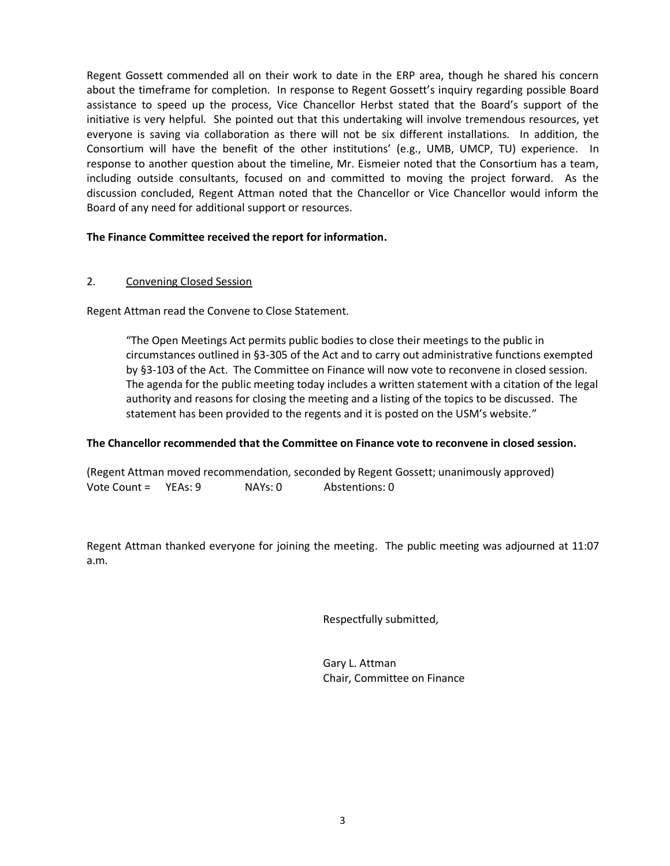Regent Gossett commended all on their work to date in the ERP area, though he shared his concern about the timeframe for completion. In response to Regent Gossett's inquiry regarding possible Board assistance to speed up the process, Vice Chancellor Herbst stated that the Board's support of the initiative is very helpful. She pointed out that this undertaking will involve tremendous resources, yet everyone is saving via collaboration as there will not be six different installations. In addition, the Consortium will have the benefit of the other institutions' (e.g., UMB, UMCP, TU) experience. In response to another question about the timeline, Mr. Eismeier noted that the Consortium has a team, including outside consultants, focused on and committed to moving the project forward. As the discussion concluded, Regent Attman noted that the Chancellor or Vice Chancellor would inform the Board of any need for additional support or resources.

### **The Finance Committee received the report for information.**

### 2. Convening Closed Session

Regent Attman read the Convene to Close Statement.

"The Open Meetings Act permits public bodies to close their meetings to the public in circumstances outlined in §3-305 of the Act and to carry out administrative functions exempted by §3-103 of the Act. The Committee on Finance will now vote to reconvene in closed session. The agenda for the public meeting today includes a written statement with a citation of the legal authority and reasons for closing the meeting and a listing of the topics to be discussed. The statement has been provided to the regents and it is posted on the USM's website."

### **The Chancellor recommended that the Committee on Finance vote to reconvene in closed session.**

(Regent Attman moved recommendation, seconded by Regent Gossett; unanimously approved) Vote Count = YEAs: 9 NAYs: 0 Abstentions: 0

Regent Attman thanked everyone for joining the meeting. The public meeting was adjourned at 11:07 a.m.

Respectfully submitted,

Gary L. Attman Chair, Committee on Finance